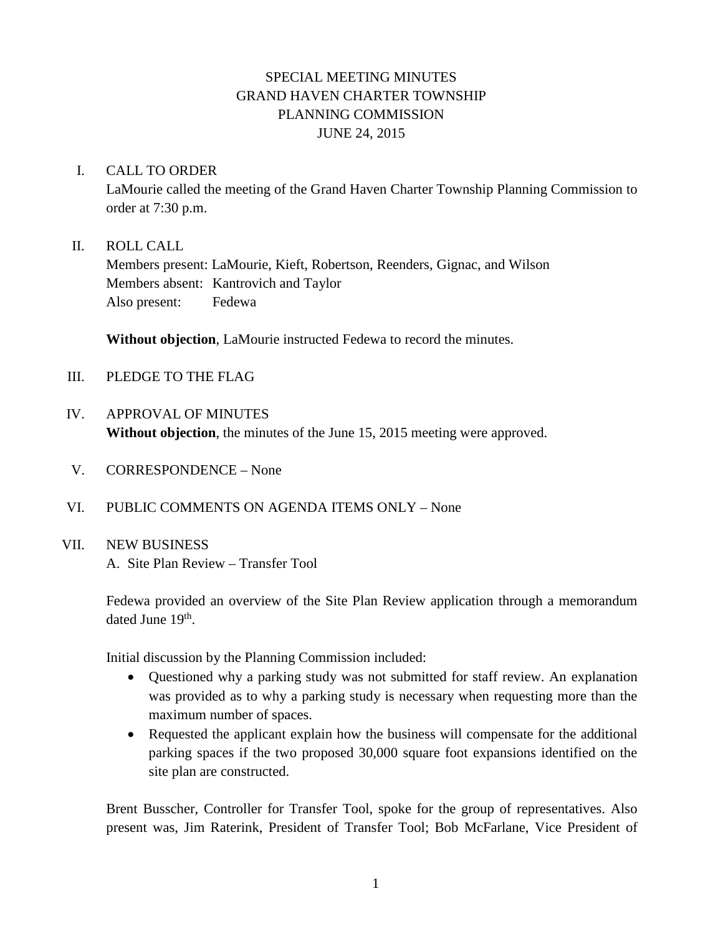# SPECIAL MEETING MINUTES GRAND HAVEN CHARTER TOWNSHIP PLANNING COMMISSION JUNE 24, 2015

#### I. CALL TO ORDER

LaMourie called the meeting of the Grand Haven Charter Township Planning Commission to order at 7:30 p.m.

### II. ROLL CALL

Members present: LaMourie, Kieft, Robertson, Reenders, Gignac, and Wilson Members absent: Kantrovich and Taylor Also present: Fedewa

**Without objection**, LaMourie instructed Fedewa to record the minutes.

- III. PLEDGE TO THE FLAG
- IV. APPROVAL OF MINUTES **Without objection**, the minutes of the June 15, 2015 meeting were approved.
- V. CORRESPONDENCE None
- VI. PUBLIC COMMENTS ON AGENDA ITEMS ONLY None

## VII. NEW BUSINESS

A. Site Plan Review – Transfer Tool

Fedewa provided an overview of the Site Plan Review application through a memorandum dated June 19<sup>th</sup>.

Initial discussion by the Planning Commission included:

- Questioned why a parking study was not submitted for staff review. An explanation was provided as to why a parking study is necessary when requesting more than the maximum number of spaces.
- Requested the applicant explain how the business will compensate for the additional parking spaces if the two proposed 30,000 square foot expansions identified on the site plan are constructed.

Brent Busscher, Controller for Transfer Tool, spoke for the group of representatives. Also present was, Jim Raterink, President of Transfer Tool; Bob McFarlane, Vice President of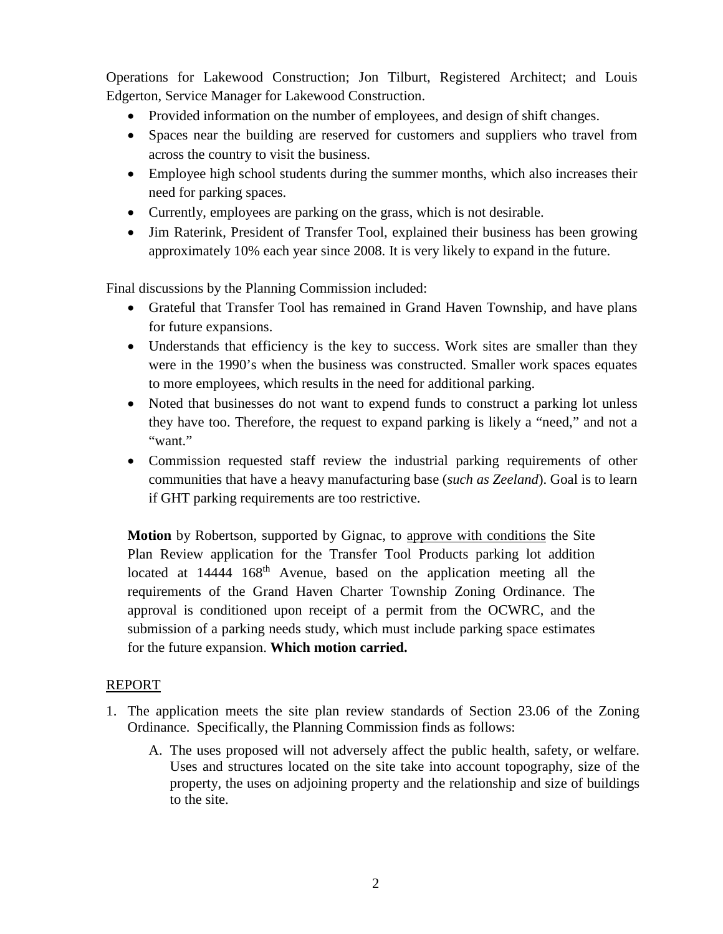Operations for Lakewood Construction; Jon Tilburt, Registered Architect; and Louis Edgerton, Service Manager for Lakewood Construction.

- Provided information on the number of employees, and design of shift changes.
- Spaces near the building are reserved for customers and suppliers who travel from across the country to visit the business.
- Employee high school students during the summer months, which also increases their need for parking spaces.
- Currently, employees are parking on the grass, which is not desirable.
- Jim Raterink, President of Transfer Tool, explained their business has been growing approximately 10% each year since 2008. It is very likely to expand in the future.

Final discussions by the Planning Commission included:

- Grateful that Transfer Tool has remained in Grand Haven Township, and have plans for future expansions.
- Understands that efficiency is the key to success. Work sites are smaller than they were in the 1990's when the business was constructed. Smaller work spaces equates to more employees, which results in the need for additional parking.
- Noted that businesses do not want to expend funds to construct a parking lot unless they have too. Therefore, the request to expand parking is likely a "need," and not a "want."
- Commission requested staff review the industrial parking requirements of other communities that have a heavy manufacturing base (*such as Zeeland*). Goal is to learn if GHT parking requirements are too restrictive.

**Motion** by Robertson, supported by Gignac, to approve with conditions the Site Plan Review application for the Transfer Tool Products parking lot addition located at 14444 168<sup>th</sup> Avenue, based on the application meeting all the requirements of the Grand Haven Charter Township Zoning Ordinance. The approval is conditioned upon receipt of a permit from the OCWRC, and the submission of a parking needs study, which must include parking space estimates for the future expansion. **Which motion carried.**

## REPORT

- 1. The application meets the site plan review standards of Section 23.06 of the Zoning Ordinance. Specifically, the Planning Commission finds as follows:
	- A. The uses proposed will not adversely affect the public health, safety, or welfare. Uses and structures located on the site take into account topography, size of the property, the uses on adjoining property and the relationship and size of buildings to the site.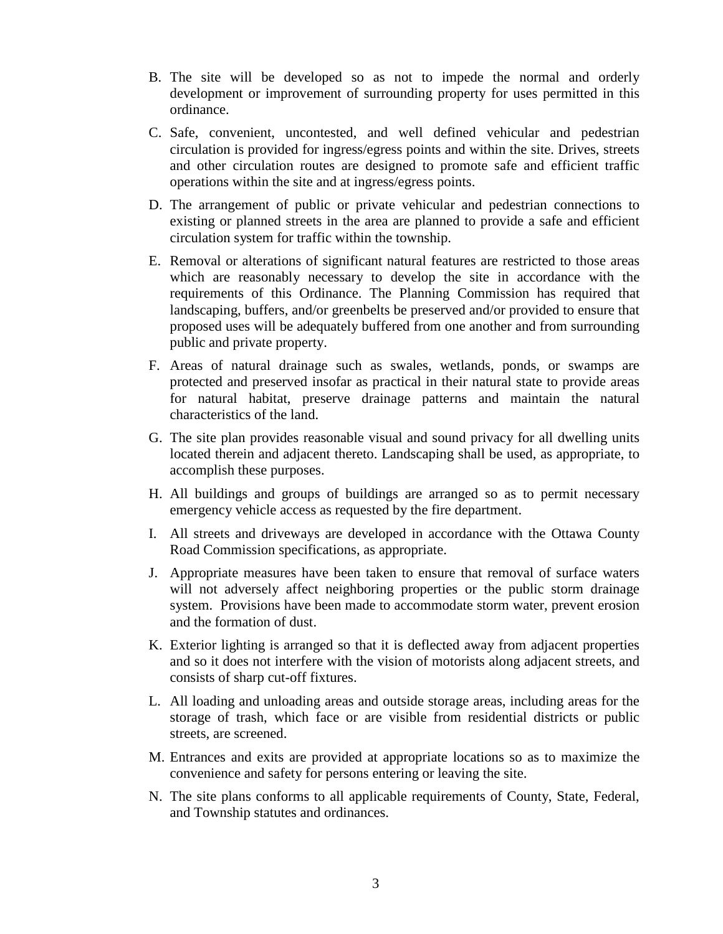- B. The site will be developed so as not to impede the normal and orderly development or improvement of surrounding property for uses permitted in this ordinance.
- C. Safe, convenient, uncontested, and well defined vehicular and pedestrian circulation is provided for ingress/egress points and within the site. Drives, streets and other circulation routes are designed to promote safe and efficient traffic operations within the site and at ingress/egress points.
- D. The arrangement of public or private vehicular and pedestrian connections to existing or planned streets in the area are planned to provide a safe and efficient circulation system for traffic within the township.
- E. Removal or alterations of significant natural features are restricted to those areas which are reasonably necessary to develop the site in accordance with the requirements of this Ordinance. The Planning Commission has required that landscaping, buffers, and/or greenbelts be preserved and/or provided to ensure that proposed uses will be adequately buffered from one another and from surrounding public and private property.
- F. Areas of natural drainage such as swales, wetlands, ponds, or swamps are protected and preserved insofar as practical in their natural state to provide areas for natural habitat, preserve drainage patterns and maintain the natural characteristics of the land.
- G. The site plan provides reasonable visual and sound privacy for all dwelling units located therein and adjacent thereto. Landscaping shall be used, as appropriate, to accomplish these purposes.
- H. All buildings and groups of buildings are arranged so as to permit necessary emergency vehicle access as requested by the fire department.
- I. All streets and driveways are developed in accordance with the Ottawa County Road Commission specifications, as appropriate.
- J. Appropriate measures have been taken to ensure that removal of surface waters will not adversely affect neighboring properties or the public storm drainage system. Provisions have been made to accommodate storm water, prevent erosion and the formation of dust.
- K. Exterior lighting is arranged so that it is deflected away from adjacent properties and so it does not interfere with the vision of motorists along adjacent streets, and consists of sharp cut-off fixtures.
- L. All loading and unloading areas and outside storage areas, including areas for the storage of trash, which face or are visible from residential districts or public streets, are screened.
- M. Entrances and exits are provided at appropriate locations so as to maximize the convenience and safety for persons entering or leaving the site.
- N. The site plans conforms to all applicable requirements of County, State, Federal, and Township statutes and ordinances.